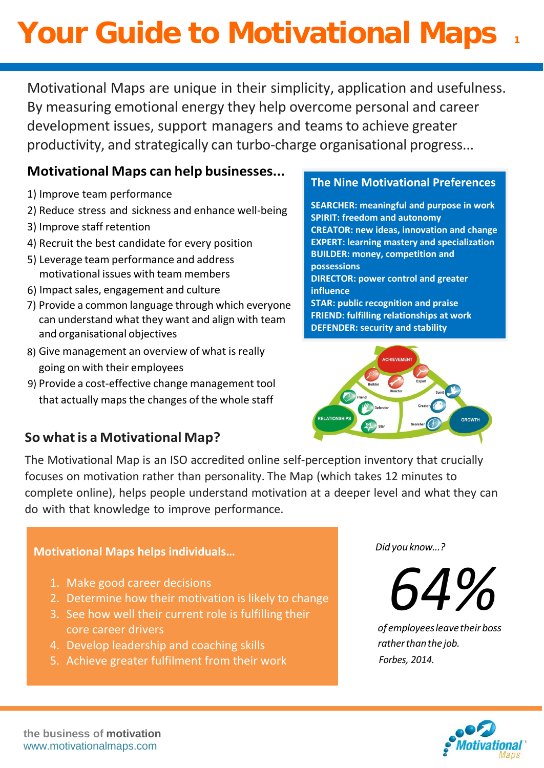# **Your Guide to Motivational Maps**

Motivational Maps are unique in their simplicity, application and usefulness. By measuring emotional energy they help overcome personal and career development issues, support managers and teamsto achieve greater productivity, and strategically can turbo-charge organisational progress...

### **Motivational Maps can help businesses...**

- 1) Improve team performance
- 2) Reduce stress and sickness and enhance well-being
- 3) Improve staff retention
- 4) Recruit the best candidate for every position
- 5) Leverage team performance and address motivational issues with team members
- 6) Impact sales, engagement and culture
- 7) Provide a common language through which everyone can understand what they want and align with team and organisational objectives
- 8) Give management an overview of what is really going on with their employees
- 9) Provide a cost-effective change management tool that actually maps the changes of the whole staff

## **So whatis a Motivational Map?**

### **The Nine Motivational Preferences**

**SEARCHER: meaningful and purpose in work SPIRIT: freedom and autonomy CREATOR: new ideas, innovation and change EXPERT: learning mastery and specialization BUILDER: money, competition and possessions DIRECTOR: power control and greater influence STAR: public recognition and praise FRIEND: fulfilling relationships at work DEFENDER: security and stability**



The Motivational Map is an ISO accredited online self-perception inventory that crucially focuses on motivation rather than personality. The Map (which takes 12 minutes to complete online), helps people understand motivation at a deeper level and what they can do with that knowledge to improve performance.

### **Motivational Maps helps individuals…**

- 1. Make good career decisions
- 2. Determine how their motivation is likely to change
- 3. See how well their current role is fulfilling their core career drivers
- 4. Develop leadership and coaching skills
- 5. Achieve greater fulfilment from their work

*Did you know...?*

*64%*

*of employees leavetheirboss ratherthanthe job. Forbes, 2014.*